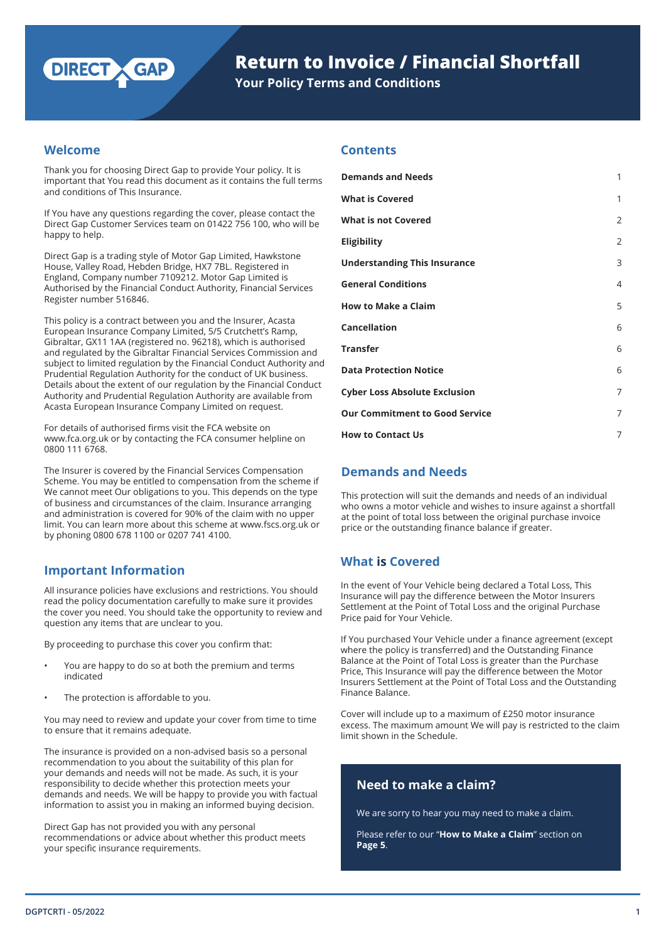

# **Return to Invoice / Financial Shortfall**

**Your Policy Terms and Conditions**

## **Welcome**

Thank you for choosing Direct Gap to provide Your policy. It is important that You read this document as it contains the full terms and conditions of This Insurance.

If You have any questions regarding the cover, please contact the Direct Gap Customer Services team on 01422 756 100, who will be happy to help.

Direct Gap is a trading style of Motor Gap Limited, Hawkstone House, Valley Road, Hebden Bridge, HX7 7BL. Registered in England, Company number 7109212. Motor Gap Limited is Authorised by the Financial Conduct Authority, Financial Services Register number 516846.

This policy is a contract between you and the Insurer, Acasta European Insurance Company Limited, 5/5 Crutchett's Ramp, Gibraltar, GX11 1AA (registered no. 96218), which is authorised and regulated by the Gibraltar Financial Services Commission and subject to limited regulation by the Financial Conduct Authority and Prudential Regulation Authority for the conduct of UK business. Details about the extent of our regulation by the Financial Conduct Authority and Prudential Regulation Authority are available from Acasta European Insurance Company Limited on request.

For details of authorised firms visit the FCA website on www.fca.org.uk or by contacting the FCA consumer helpline on 0800 111 6768.

The Insurer is covered by the Financial Services Compensation Scheme. You may be entitled to compensation from the scheme if We cannot meet Our obligations to you. This depends on the type of business and circumstances of the claim. Insurance arranging and administration is covered for 90% of the claim with no upper limit. You can learn more about this scheme at www.fscs.org.uk or by phoning 0800 678 1100 or 0207 741 4100.

## **Important Information**

All insurance policies have exclusions and restrictions. You should read the policy documentation carefully to make sure it provides the cover you need. You should take the opportunity to review and question any items that are unclear to you.

By proceeding to purchase this cover you confirm that:

- You are happy to do so at both the premium and terms indicated
- The protection is affordable to you.

You may need to review and update your cover from time to time to ensure that it remains adequate.

The insurance is provided on a non-advised basis so a personal recommendation to you about the suitability of this plan for your demands and needs will not be made. As such, it is your responsibility to decide whether this protection meets your demands and needs. We will be happy to provide you with factual information to assist you in making an informed buying decision.

Direct Gap has not provided you with any personal recommendations or advice about whether this product meets your specific insurance requirements.

## **Contents**

| <b>Demands and Needs</b>              | 1              |
|---------------------------------------|----------------|
| <b>What is Covered</b>                | 1              |
| <b>What is not Covered</b>            | $\overline{2}$ |
| <b>Eligibility</b>                    | $\overline{2}$ |
| <b>Understanding This Insurance</b>   | 3              |
| <b>General Conditions</b>             | $\overline{4}$ |
| <b>How to Make a Claim</b>            | 5              |
| <b>Cancellation</b>                   | 6              |
| <b>Transfer</b>                       | 6              |
| <b>Data Protection Notice</b>         | 6              |
| <b>Cyber Loss Absolute Exclusion</b>  | 7              |
| <b>Our Commitment to Good Service</b> | 7              |
| <b>How to Contact Us</b>              | 7              |

## **Demands and Needs**

This protection will suit the demands and needs of an individual who owns a motor vehicle and wishes to insure against a shortfall at the point of total loss between the original purchase invoice price or the outstanding finance balance if greater.

## **What is Covered**

In the event of Your Vehicle being declared a Total Loss, This Insurance will pay the difference between the Motor Insurers Settlement at the Point of Total Loss and the original Purchase Price paid for Your Vehicle.

If You purchased Your Vehicle under a finance agreement (except where the policy is transferred) and the Outstanding Finance Balance at the Point of Total Loss is greater than the Purchase Price, This Insurance will pay the difference between the Motor Insurers Settlement at the Point of Total Loss and the Outstanding Finance Balance.

Cover will include up to a maximum of £250 motor insurance excess. The maximum amount We will pay is restricted to the claim limit shown in the Schedule.

## **Need to make a claim?**

We are sorry to hear you may need to make a claim.

Please refer to our "**How to Make a Claim**" section on **Page 5**.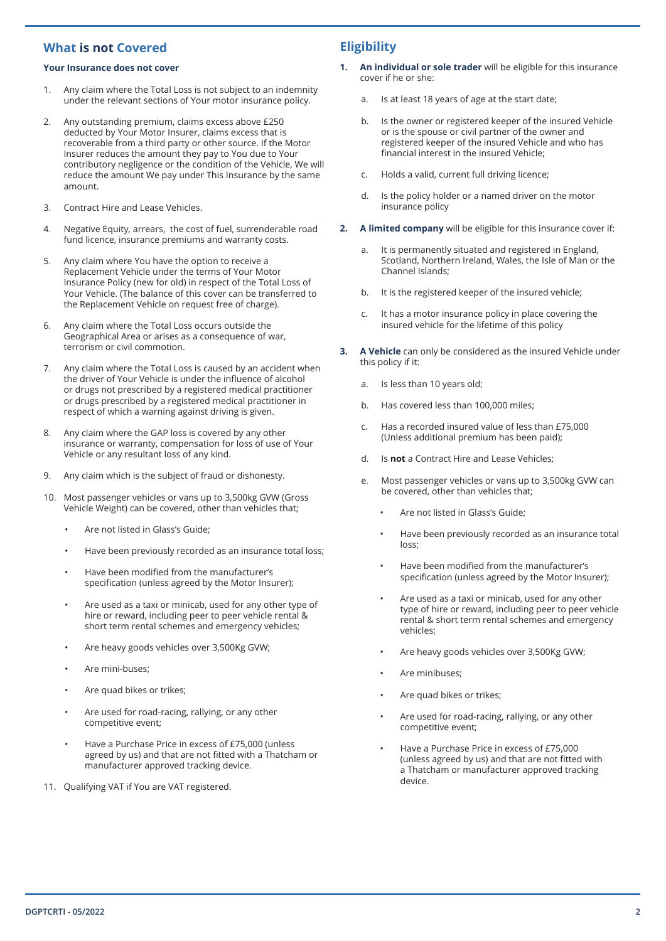## **What is not Covered**

#### **Your Insurance does not cover**

- 1. Any claim where the Total Loss is not subject to an indemnity under the relevant sections of Your motor insurance policy.
- 2. Any outstanding premium, claims excess above £250 deducted by Your Motor Insurer, claims excess that is recoverable from a third party or other source. If the Motor Insurer reduces the amount they pay to You due to Your contributory negligence or the condition of the Vehicle, We will reduce the amount We pay under This Insurance by the same amount.
- 3. Contract Hire and Lease Vehicles.
- 4. Negative Equity, arrears, the cost of fuel, surrenderable road fund licence, insurance premiums and warranty costs.
- 5. Any claim where You have the option to receive a Replacement Vehicle under the terms of Your Motor Insurance Policy (new for old) in respect of the Total Loss of Your Vehicle. (The balance of this cover can be transferred to the Replacement Vehicle on request free of charge).
- 6. Any claim where the Total Loss occurs outside the Geographical Area or arises as a consequence of war, terrorism or civil commotion.
- 7. Any claim where the Total Loss is caused by an accident when the driver of Your Vehicle is under the influence of alcohol or drugs not prescribed by a registered medical practitioner or drugs prescribed by a registered medical practitioner in respect of which a warning against driving is given.
- 8. Any claim where the GAP loss is covered by any other insurance or warranty, compensation for loss of use of Your Vehicle or any resultant loss of any kind.
- 9. Any claim which is the subject of fraud or dishonesty.
- 10. Most passenger vehicles or vans up to 3,500kg GVW (Gross Vehicle Weight) can be covered, other than vehicles that;
	- Are not listed in Glass's Guide;
	- Have been previously recorded as an insurance total loss;
	- Have been modified from the manufacturer's specification (unless agreed by the Motor Insurer);
	- Are used as a taxi or minicab, used for any other type of hire or reward, including peer to peer vehicle rental & short term rental schemes and emergency vehicles;
	- Are heavy goods vehicles over 3,500Kg GVW;
	- Are mini-buses;
	- Are quad bikes or trikes;
	- Are used for road-racing, rallying, or any other competitive event;
	- Have a Purchase Price in excess of £75,000 (unless agreed by us) and that are not fitted with a Thatcham or manufacturer approved tracking device.
- 11. Qualifying VAT if You are VAT registered.

## **Eligibility**

- **1. An individual or sole trader** will be eligible for this insurance cover if he or she:
	- a. Is at least 18 years of age at the start date;
	- b. Is the owner or registered keeper of the insured Vehicle or is the spouse or civil partner of the owner and registered keeper of the insured Vehicle and who has financial interest in the insured Vehicle;
	- c. Holds a valid, current full driving licence;
	- d. Is the policy holder or a named driver on the motor insurance policy
- **2. A limited company** will be eligible for this insurance cover if:
	- a. It is permanently situated and registered in England, Scotland, Northern Ireland, Wales, the Isle of Man or the Channel Islands;
	- b. It is the registered keeper of the insured vehicle;
	- c. It has a motor insurance policy in place covering the insured vehicle for the lifetime of this policy
- **3. A Vehicle** can only be considered as the insured Vehicle under this policy if it:
	- a. Is less than 10 years old;
	- b. Has covered less than 100,000 miles;
	- c. Has a recorded insured value of less than £75,000 (Unless additional premium has been paid);
	- d. Is **not** a Contract Hire and Lease Vehicles;
	- e. Most passenger vehicles or vans up to 3,500kg GVW can be covered, other than vehicles that;
		- Are not listed in Glass's Guide;
		- Have been previously recorded as an insurance total loss;
		- Have been modified from the manufacturer's specification (unless agreed by the Motor Insurer);
		- Are used as a taxi or minicab, used for any other type of hire or reward, including peer to peer vehicle rental & short term rental schemes and emergency vehicles;
		- Are heavy goods vehicles over 3,500Kg GVW;
		- Are minibuses;
		- Are quad bikes or trikes;
		- Are used for road-racing, rallying, or any other competitive event;
		- Have a Purchase Price in excess of £75,000 (unless agreed by us) and that are not fitted with a Thatcham or manufacturer approved tracking device.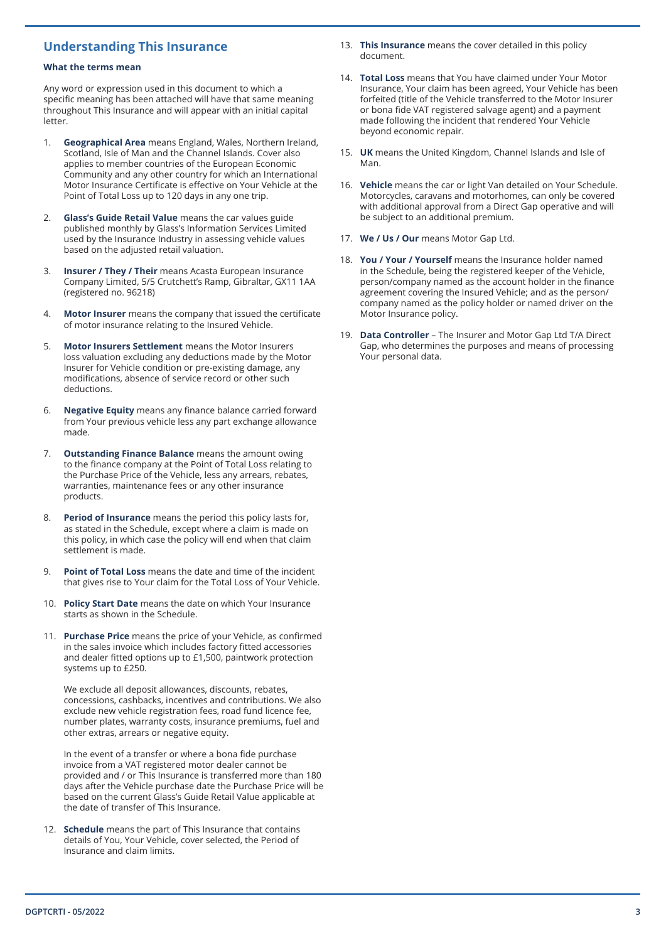## **Understanding This Insurance**

#### **What the terms mean**

Any word or expression used in this document to which a specific meaning has been attached will have that same meaning throughout This Insurance and will appear with an initial capital letter.

- 1. **Geographical Area** means England, Wales, Northern Ireland, Scotland, Isle of Man and the Channel Islands. Cover also applies to member countries of the European Economic Community and any other country for which an International Motor Insurance Certificate is effective on Your Vehicle at the Point of Total Loss up to 120 days in any one trip.
- 2. **Glass's Guide Retail Value** means the car values guide published monthly by Glass's Information Services Limited used by the Insurance Industry in assessing vehicle values based on the adjusted retail valuation.
- 3. **Insurer / They / Their** means Acasta European Insurance Company Limited, 5/5 Crutchett's Ramp, Gibraltar, GX11 1AA (registered no. 96218)
- 4. **Motor Insurer** means the company that issued the certificate of motor insurance relating to the Insured Vehicle.
- 5. **Motor Insurers Settlement** means the Motor Insurers loss valuation excluding any deductions made by the Motor Insurer for Vehicle condition or pre-existing damage, any modifications, absence of service record or other such deductions.
- 6. **Negative Equity** means any finance balance carried forward from Your previous vehicle less any part exchange allowance made.
- 7. **Outstanding Finance Balance** means the amount owing to the finance company at the Point of Total Loss relating to the Purchase Price of the Vehicle, less any arrears, rebates, warranties, maintenance fees or any other insurance products.
- 8. **Period of Insurance** means the period this policy lasts for, as stated in the Schedule, except where a claim is made on this policy, in which case the policy will end when that claim settlement is made.
- 9. **Point of Total Loss** means the date and time of the incident that gives rise to Your claim for the Total Loss of Your Vehicle.
- 10. **Policy Start Date** means the date on which Your Insurance starts as shown in the Schedule.
- 11. **Purchase Price** means the price of your Vehicle, as confirmed in the sales invoice which includes factory fitted accessories and dealer fitted options up to £1,500, paintwork protection systems up to £250.

We exclude all deposit allowances, discounts, rebates, concessions, cashbacks, incentives and contributions. We also exclude new vehicle registration fees, road fund licence fee, number plates, warranty costs, insurance premiums, fuel and other extras, arrears or negative equity.

In the event of a transfer or where a bona fide purchase invoice from a VAT registered motor dealer cannot be provided and / or This Insurance is transferred more than 180 days after the Vehicle purchase date the Purchase Price will be based on the current Glass's Guide Retail Value applicable at the date of transfer of This Insurance.

12. **Schedule** means the part of This Insurance that contains details of You, Your Vehicle, cover selected, the Period of Insurance and claim limits.

- 13. **This Insurance** means the cover detailed in this policy document.
- 14. **Total Loss** means that You have claimed under Your Motor Insurance, Your claim has been agreed, Your Vehicle has been forfeited (title of the Vehicle transferred to the Motor Insurer or bona fide VAT registered salvage agent) and a payment made following the incident that rendered Your Vehicle beyond economic repair.
- 15. **UK** means the United Kingdom, Channel Islands and Isle of Man.
- 16. **Vehicle** means the car or light Van detailed on Your Schedule. Motorcycles, caravans and motorhomes, can only be covered with additional approval from a Direct Gap operative and will be subject to an additional premium.
- 17. **We / Us / Our** means Motor Gap Ltd.
- 18. **You / Your / Yourself** means the Insurance holder named in the Schedule, being the registered keeper of the Vehicle, person/company named as the account holder in the finance agreement covering the Insured Vehicle; and as the person/ company named as the policy holder or named driver on the Motor Insurance policy.
- 19. **Data Controller** The Insurer and Motor Gap Ltd T/A Direct Gap, who determines the purposes and means of processing Your personal data.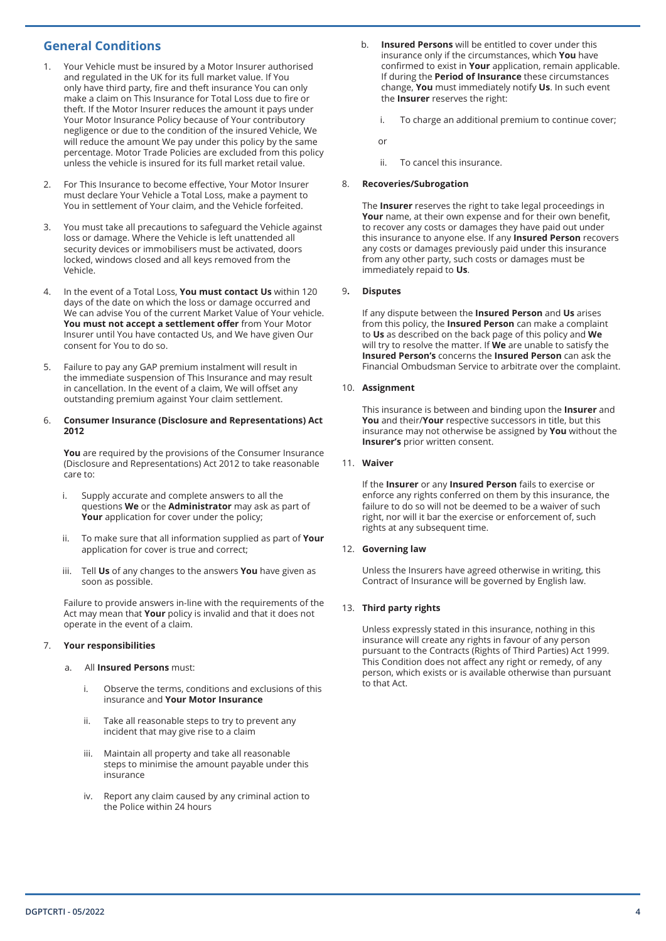## **General Conditions**

- 1. Your Vehicle must be insured by a Motor Insurer authorised and regulated in the UK for its full market value. If You only have third party, fire and theft insurance You can only make a claim on This Insurance for Total Loss due to fire or theft. If the Motor Insurer reduces the amount it pays under Your Motor Insurance Policy because of Your contributory negligence or due to the condition of the insured Vehicle, We will reduce the amount We pay under this policy by the same percentage. Motor Trade Policies are excluded from this policy unless the vehicle is insured for its full market retail value.
- 2. For This Insurance to become effective, Your Motor Insurer must declare Your Vehicle a Total Loss, make a payment to You in settlement of Your claim, and the Vehicle forfeited.
- 3. You must take all precautions to safeguard the Vehicle against loss or damage. Where the Vehicle is left unattended all security devices or immobilisers must be activated, doors locked, windows closed and all keys removed from the Vehicle.
- 4. In the event of a Total Loss, **You must contact Us** within 120 days of the date on which the loss or damage occurred and We can advise You of the current Market Value of Your vehicle. **You must not accept a settlement offer** from Your Motor Insurer until You have contacted Us, and We have given Our consent for You to do so.
- 5. Failure to pay any GAP premium instalment will result in the immediate suspension of This Insurance and may result in cancellation. In the event of a claim, We will offset any outstanding premium against Your claim settlement.

#### 6. **Consumer Insurance (Disclosure and Representations) Act 2012**

**You** are required by the provisions of the Consumer Insurance (Disclosure and Representations) Act 2012 to take reasonable care to:

- i. Supply accurate and complete answers to all the questions **We** or the **Administrator** may ask as part of Your application for cover under the policy;
- ii. To make sure that all information supplied as part of **Your**  application for cover is true and correct;
- iii. Tell **Us** of any changes to the answers **You** have given as soon as possible.

Failure to provide answers in-line with the requirements of the Act may mean that **Your** policy is invalid and that it does not operate in the event of a claim.

#### 7. **Your responsibilities**

- a. All **Insured Persons** must:
	- i. Observe the terms, conditions and exclusions of this insurance and **Your Motor Insurance**
	- ii. Take all reasonable steps to try to prevent any incident that may give rise to a claim
	- iii. Maintain all property and take all reasonable steps to minimise the amount payable under this insurance
	- iv. Report any claim caused by any criminal action to the Police within 24 hours
- b. **Insured Persons** will be entitled to cover under this insurance only if the circumstances, which **You** have confirmed to exist in **Your** application, remain applicable. If during the **Period of Insurance** these circumstances change, **You** must immediately notify **Us**. In such event the **Insurer** reserves the right:
	- i. To charge an additional premium to continue cover;

or

ii. To cancel this insurance.

#### 8. **Recoveries/Subrogation**

The **Insurer** reserves the right to take legal proceedings in **Your** name, at their own expense and for their own benefit, to recover any costs or damages they have paid out under this insurance to anyone else. If any **Insured Person** recovers any costs or damages previously paid under this insurance from any other party, such costs or damages must be immediately repaid to **Us**.

#### 9**. Disputes**

If any dispute between the **Insured Person** and **Us** arises from this policy, the **Insured Person** can make a complaint to **Us** as described on the back page of this policy and **We** will try to resolve the matter. If **We** are unable to satisfy the **Insured Person's** concerns the **Insured Person** can ask the Financial Ombudsman Service to arbitrate over the complaint.

#### 10. **Assignment**

This insurance is between and binding upon the **Insurer** and **You** and their/**Your** respective successors in title, but this insurance may not otherwise be assigned by **You** without the **Insurer's** prior written consent.

#### 11. **Waiver**

If the **Insurer** or any **Insured Person** fails to exercise or enforce any rights conferred on them by this insurance, the failure to do so will not be deemed to be a waiver of such right, nor will it bar the exercise or enforcement of, such rights at any subsequent time.

#### 12. **Governing law**

Unless the Insurers have agreed otherwise in writing, this Contract of Insurance will be governed by English law.

#### 13. **Third party rights**

Unless expressly stated in this insurance, nothing in this insurance will create any rights in favour of any person pursuant to the Contracts (Rights of Third Parties) Act 1999. This Condition does not affect any right or remedy, of any person, which exists or is available otherwise than pursuant to that Act.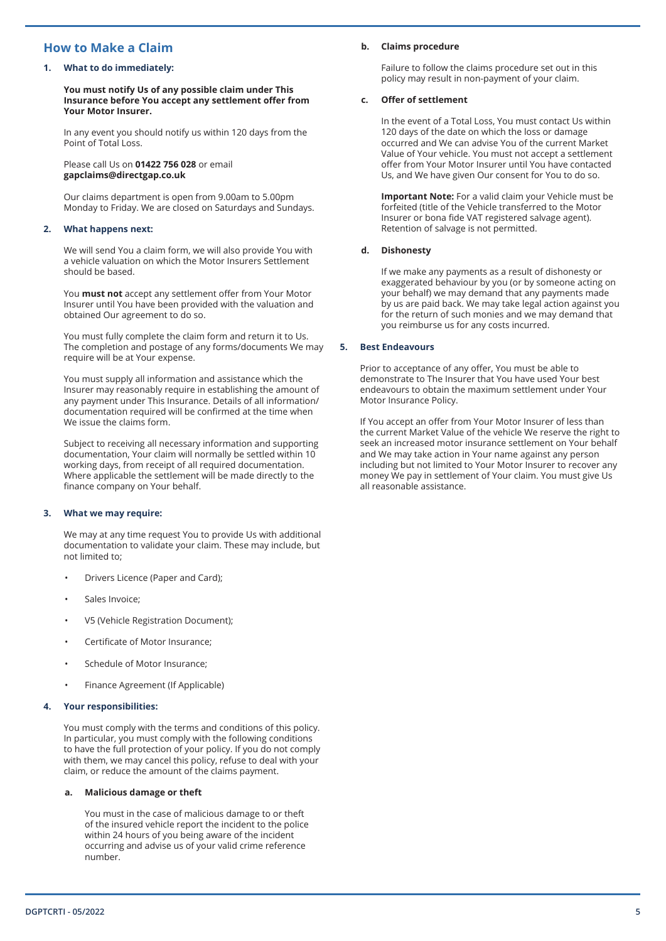## **How to Make a Claim**

#### **1. What to do immediately:**

**You must notify Us of any possible claim under This Insurance before You accept any settlement offer from Your Motor Insurer.**

In any event you should notify us within 120 days from the Point of Total Loss.

Please call Us on **01422 756 028** or email **gapclaims@directgap.co.uk**

Our claims department is open from 9.00am to 5.00pm Monday to Friday. We are closed on Saturdays and Sundays.

#### **2. What happens next:**

We will send You a claim form, we will also provide You with a vehicle valuation on which the Motor Insurers Settlement should be based.

You **must not** accept any settlement offer from Your Motor Insurer until You have been provided with the valuation and obtained Our agreement to do so.

You must fully complete the claim form and return it to Us. The completion and postage of any forms/documents We may require will be at Your expense.

You must supply all information and assistance which the Insurer may reasonably require in establishing the amount of any payment under This Insurance. Details of all information/ documentation required will be confirmed at the time when We issue the claims form.

Subject to receiving all necessary information and supporting documentation, Your claim will normally be settled within 10 working days, from receipt of all required documentation. Where applicable the settlement will be made directly to the finance company on Your behalf.

#### **3. What we may require:**

We may at any time request You to provide Us with additional documentation to validate your claim. These may include, but not limited to;

- Drivers Licence (Paper and Card);
- Sales Invoice;
- V5 (Vehicle Registration Document);
- Certificate of Motor Insurance;
- Schedule of Motor Insurance;
- Finance Agreement (If Applicable)

#### **4. Your responsibilities:**

You must comply with the terms and conditions of this policy. In particular, you must comply with the following conditions to have the full protection of your policy. If you do not comply with them, we may cancel this policy, refuse to deal with your claim, or reduce the amount of the claims payment.

#### **a. Malicious damage or theft**

You must in the case of malicious damage to or theft of the insured vehicle report the incident to the police within 24 hours of you being aware of the incident occurring and advise us of your valid crime reference number.

#### **b. Claims procedure**

Failure to follow the claims procedure set out in this policy may result in non-payment of your claim.

#### **c. Offer of settlement**

In the event of a Total Loss, You must contact Us within 120 days of the date on which the loss or damage occurred and We can advise You of the current Market Value of Your vehicle. You must not accept a settlement offer from Your Motor Insurer until You have contacted Us, and We have given Our consent for You to do so.

**Important Note:** For a valid claim your Vehicle must be forfeited (title of the Vehicle transferred to the Motor Insurer or bona fide VAT registered salvage agent). Retention of salvage is not permitted.

#### **d. Dishonesty**

If we make any payments as a result of dishonesty or exaggerated behaviour by you (or by someone acting on your behalf) we may demand that any payments made by us are paid back. We may take legal action against you for the return of such monies and we may demand that you reimburse us for any costs incurred.

#### **5. Best Endeavours**

Prior to acceptance of any offer, You must be able to demonstrate to The Insurer that You have used Your best endeavours to obtain the maximum settlement under Your Motor Insurance Policy.

If You accept an offer from Your Motor Insurer of less than the current Market Value of the vehicle We reserve the right to seek an increased motor insurance settlement on Your behalf and We may take action in Your name against any person including but not limited to Your Motor Insurer to recover any money We pay in settlement of Your claim. You must give Us all reasonable assistance.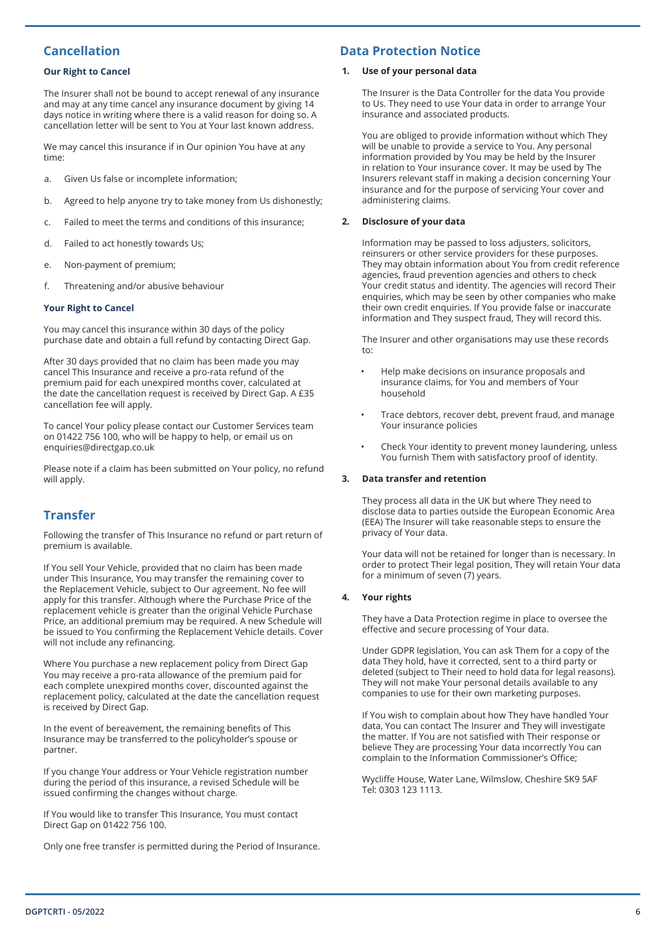## **Cancellation**

#### **Our Right to Cancel**

The Insurer shall not be bound to accept renewal of any insurance and may at any time cancel any insurance document by giving 14 days notice in writing where there is a valid reason for doing so. A cancellation letter will be sent to You at Your last known address.

We may cancel this insurance if in Our opinion You have at any time:

- a. Given Us false or incomplete information;
- b. Agreed to help anyone try to take money from Us dishonestly;
- c. Failed to meet the terms and conditions of this insurance;
- d. Failed to act honestly towards Us;
- e. Non-payment of premium;
- f. Threatening and/or abusive behaviour

#### **Your Right to Cancel**

You may cancel this insurance within 30 days of the policy purchase date and obtain a full refund by contacting Direct Gap.

After 30 days provided that no claim has been made you may cancel This Insurance and receive a pro-rata refund of the premium paid for each unexpired months cover, calculated at the date the cancellation request is received by Direct Gap. A £35 cancellation fee will apply.

To cancel Your policy please contact our Customer Services team on 01422 756 100, who will be happy to help, or email us on enquiries@directgap.co.uk

Please note if a claim has been submitted on Your policy, no refund will apply.

## **Transfer**

Following the transfer of This Insurance no refund or part return of premium is available.

If You sell Your Vehicle, provided that no claim has been made under This Insurance, You may transfer the remaining cover to the Replacement Vehicle, subject to Our agreement. No fee will apply for this transfer. Although where the Purchase Price of the replacement vehicle is greater than the original Vehicle Purchase Price, an additional premium may be required. A new Schedule will be issued to You confirming the Replacement Vehicle details. Cover will not include any refinancing.

Where You purchase a new replacement policy from Direct Gap You may receive a pro-rata allowance of the premium paid for each complete unexpired months cover, discounted against the replacement policy, calculated at the date the cancellation request is received by Direct Gap.

In the event of bereavement, the remaining benefits of This Insurance may be transferred to the policyholder's spouse or partner.

If you change Your address or Your Vehicle registration number during the period of this insurance, a revised Schedule will be issued confirming the changes without charge.

If You would like to transfer This Insurance, You must contact Direct Gap on 01422 756 100.

Only one free transfer is permitted during the Period of Insurance.

## **Data Protection Notice**

#### **1. Use of your personal data**

The Insurer is the Data Controller for the data You provide to Us. They need to use Your data in order to arrange Your insurance and associated products.

You are obliged to provide information without which They will be unable to provide a service to You. Any personal information provided by You may be held by the Insurer in relation to Your insurance cover. It may be used by The Insurers relevant staff in making a decision concerning Your insurance and for the purpose of servicing Your cover and administering claims.

#### **2. Disclosure of your data**

Information may be passed to loss adjusters, solicitors, reinsurers or other service providers for these purposes. They may obtain information about You from credit reference agencies, fraud prevention agencies and others to check Your credit status and identity. The agencies will record Their enquiries, which may be seen by other companies who make their own credit enquiries. If You provide false or inaccurate information and They suspect fraud, They will record this.

The Insurer and other organisations may use these records to:

- Help make decisions on insurance proposals and insurance claims, for You and members of Your household
- Trace debtors, recover debt, prevent fraud, and manage Your insurance policies
- Check Your identity to prevent money laundering, unless You furnish Them with satisfactory proof of identity.

#### **3. Data transfer and retention**

They process all data in the UK but where They need to disclose data to parties outside the European Economic Area (EEA) The Insurer will take reasonable steps to ensure the privacy of Your data.

Your data will not be retained for longer than is necessary. In order to protect Their legal position, They will retain Your data for a minimum of seven (7) years.

#### **4. Your rights**

They have a Data Protection regime in place to oversee the effective and secure processing of Your data.

Under GDPR legislation, You can ask Them for a copy of the data They hold, have it corrected, sent to a third party or deleted (subject to Their need to hold data for legal reasons). They will not make Your personal details available to any companies to use for their own marketing purposes.

If You wish to complain about how They have handled Your data, You can contact The Insurer and They will investigate the matter. If You are not satisfied with Their response or believe They are processing Your data incorrectly You can complain to the Information Commissioner's Office;

Wycliffe House, Water Lane, Wilmslow, Cheshire SK9 5AF Tel: 0303 123 1113.